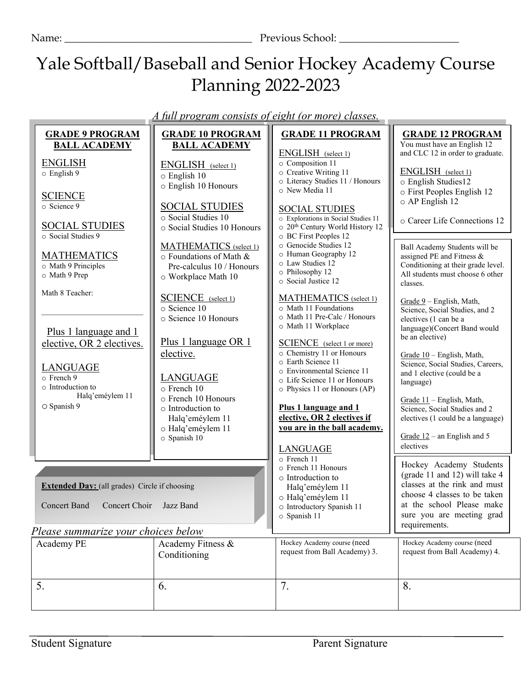Name: \_\_\_\_\_\_\_\_\_\_\_\_\_\_\_\_\_\_\_\_\_\_\_\_\_\_\_\_\_\_\_\_\_\_\_\_ Previous School: \_\_\_\_\_\_\_\_\_\_\_\_\_\_\_\_\_\_\_\_\_\_\_

 $\overline{\phantom{a}}$ 

# Yale Softball/Baseball and Senior Hockey Academy Course Planning 2022-2023

*A full program consists of eight (or more) classes.*

|                                     | <b>GRADE 9 PROGRAM</b>                               | <b>GRADE 10 PROGRAM</b>     | <b>GRADE 11 PROGRAM</b>                                      | <b>GRADE 12 PROGRAM</b>                                         |
|-------------------------------------|------------------------------------------------------|-----------------------------|--------------------------------------------------------------|-----------------------------------------------------------------|
|                                     | <b>BALL ACADEMY</b>                                  | <b>BALL ACADEMY</b>         |                                                              | You must have an English 12                                     |
|                                     |                                                      |                             | ENGLISH (select 1)<br>o Composition 11                       | and CLC 12 in order to graduate.                                |
|                                     | <b>ENGLISH</b><br>$\circ$ English 9                  | ENGLISH (select 1)          | o Creative Writing 11                                        | ENGLISH (select 1)                                              |
|                                     |                                                      | $\circ$ English 10          | o Literacy Studies 11 / Honours                              | o English Studies12                                             |
|                                     | <b>SCIENCE</b>                                       | o English 10 Honours        | o New Media 11                                               | o First Peoples English 12                                      |
|                                     | o Science 9                                          | <b>SOCIAL STUDIES</b>       |                                                              | o AP English 12                                                 |
|                                     |                                                      | o Social Studies 10         | <b>SOCIAL STUDIES</b><br>o Explorations in Social Studies 11 |                                                                 |
|                                     | <b>SOCIAL STUDIES</b>                                | o Social Studies 10 Honours | o 20 <sup>th</sup> Century World History 12                  | o Career Life Connections 12                                    |
|                                     | o Social Studies 9                                   |                             | o BC First Peoples 12                                        |                                                                 |
|                                     |                                                      | MATHEMATICS (select 1)      | o Genocide Studies 12<br>o Human Geography 12                | Ball Academy Students will be                                   |
|                                     | <b>MATHEMATICS</b>                                   | o Foundations of Math &     | o Law Studies 12                                             | assigned PE and Fitness &<br>Conditioning at their grade level. |
|                                     | o Math 9 Principles<br>o Math 9 Prep                 | Pre-calculus 10 / Honours   | o Philosophy 12                                              | All students must choose 6 other                                |
|                                     |                                                      | o Workplace Math 10         | o Social Justice 12                                          | classes.                                                        |
|                                     | Math 8 Teacher:                                      | SCIENCE (select 1)          | MATHEMATICS (select 1)                                       |                                                                 |
|                                     |                                                      | o Science 10                | o Math 11 Foundations                                        | Grade $9$ – English, Math,<br>Science, Social Studies, and 2    |
|                                     |                                                      | o Science 10 Honours        | o Math 11 Pre-Calc / Honours                                 | electives (1 can be a                                           |
|                                     | <u>Plus 1 language and 1</u>                         |                             | o Math 11 Workplace                                          | language)(Concert Band would                                    |
|                                     | elective, OR 2 electives.                            | Plus 1 language OR 1        | <b>SCIENCE</b> (select 1 or more)                            | be an elective)                                                 |
|                                     |                                                      | elective.                   | o Chemistry 11 or Honours                                    | Grade 10 - English, Math,                                       |
|                                     |                                                      |                             | o Earth Science 11                                           | Science, Social Studies, Careers,                               |
|                                     | <b>LANGUAGE</b><br>o French 9                        | <b>LANGUAGE</b>             | o Environmental Science 11                                   | and 1 elective (could be a                                      |
|                                     | o Introduction to                                    | o French 10                 | o Life Science 11 or Honours<br>o Physics 11 or Honours (AP) | language)                                                       |
|                                     | Halq'eméylem 11                                      | o French 10 Honours         |                                                              | Grade 11 - English, Math,                                       |
|                                     | O Spanish 9                                          | o Introduction to           | Plus 1 language and 1                                        | Science, Social Studies and 2                                   |
|                                     |                                                      | Halq'eméylem 11             | elective, OR 2 electives if                                  | electives (1 could be a language)                               |
|                                     |                                                      | o Halq'eméylem 11           | you are in the ball academy.                                 |                                                                 |
|                                     |                                                      | o Spanish 10                |                                                              | Grade $12$ – an English and 5<br>electives                      |
|                                     |                                                      |                             | <b>LANGUAGE</b><br>o French 11                               |                                                                 |
|                                     |                                                      |                             | ○ French 11 Honours                                          | Hockey Academy Students                                         |
|                                     |                                                      |                             | o Introduction to                                            | (grade 11 and 12) will take 4                                   |
|                                     | <b>Extended Day:</b> (all grades) Circle if choosing |                             | Halq'eméylem 11                                              | classes at the rink and must                                    |
|                                     |                                                      |                             | o Halq'eméylem 11                                            | choose 4 classes to be taken<br>at the school Please make       |
|                                     | <b>Concert Band</b><br>Concert Choir                 | Jazz Band                   | o Introductory Spanish 11<br>o Spanish 11                    | sure you are meeting grad                                       |
|                                     |                                                      |                             |                                                              | requirements.                                                   |
| Please summarize your choices below |                                                      |                             |                                                              |                                                                 |
|                                     | Academy PE                                           | Academy Fitness &           | Hockey Academy course (need                                  | Hockey Academy course (need                                     |
|                                     |                                                      | Conditioning                | request from Ball Academy) 3.                                | request from Ball Academy) 4.                                   |
|                                     |                                                      |                             |                                                              |                                                                 |
|                                     |                                                      |                             |                                                              |                                                                 |
|                                     | 5.                                                   | 6.                          | 7.                                                           | 8.                                                              |
|                                     |                                                      |                             |                                                              |                                                                 |